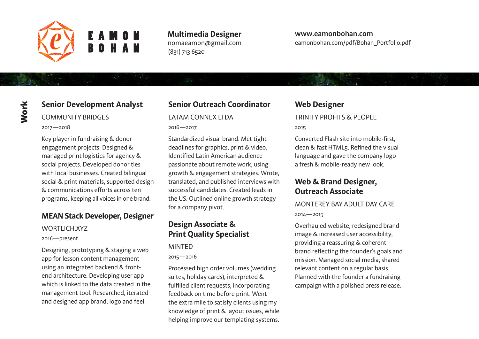

**Multimedia Designer** nomaeamon@gmail.com (831) 713 6520

#### **www.eamonbohan.com** eamonbohan.com/pdf/Bohan\_Portfolio.pdf

# **Senior Development Analyst**

#### COMMUNITY BRIDGES

2017—2018

Key player in fundraising & donor engagement projects. Designed & managed print logistics for agency & social projects. Developed donor ties with local businesses. Created bilingual social & print materials, supported design & communications efforts across ten programs, keeping all voices in one brand.

#### **MEAN Stack Developer, Designer**

#### WORTLICH.XYZ

2016—present

Designing, prototyping & staging a web app for lesson content management using an integrated backend & frontend architecture. Developing user app which is linked to the data created in the management tool. Researched, iterated and designed app brand, logo and feel.

# **Senior Outreach Coordinator**

#### LATAM CONNEX LTDA

2016—2017

Standardized visual brand. Met tight deadlines for graphics, print & video. Identified Latin American audience passionate about remote work, using growth & engagement strategies. Wrote, translated, and published interviews with successful candidates. Created leads in the US. Outlined online growth strategy for a company pivot.

#### **Design Associate & Print Quality Specialist**

#### MINTED

#### 2015—2016

Processed high order volumes (wedding suites, holiday cards), interpreted & fulfilled client requests, incorporating feedback on time before print. Went the extra mile to satisfy clients using my knowledge of print & layout issues, while helping improve our templating systems.

## **Web Designer**

#### TRINITY PROFITS & PEOPLE

#### 2015

Converted Flash site into mobile-first, clean & fast HTML5. Refined the visual language and gave the company logo a fresh & mobile-ready new look.

## **Web & Brand Designer, Outreach Associate**

#### MONTEREY BAY ADULT DAY CARE 2014—2015

Overhauled website, redesigned brand image & increased user accessibility, providing a reassuring & coherent brand reflecting the founder's goals and mission. Managed social media, shared relevant content on a regular basis. Planned with the founder a fundraising campaign with a polished press release.